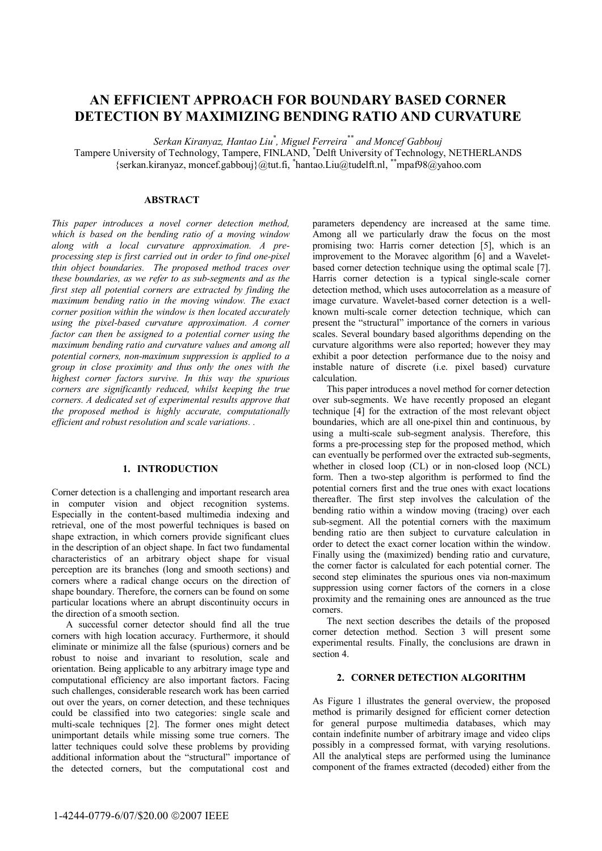# **AN EFFICIENT APPROACH FOR BOUNDARY BASED CORNER DETECTION BY MAXIMIZING BENDING RATIO AND CURVATURE**

*Serkan Kiranyaz, Hantao Liu\* , Miguel Ferreira\*\* and Moncef Gabbouj* 

Tampere University of Technology, Tampere, FINLAND, \* Delft University of Technology, NETHERLANDS {serkan.kiranyaz, moncef.gabbouj}@tut.fi, \* hantao.Liu@tudelft.nl, \*\*mpaf98@yahoo.com

# **ABSTRACT**

*This paper introduces a novel corner detection method, which is based on the bending ratio of a moving window along with a local curvature approximation. A preprocessing step is first carried out in order to find one-pixel thin object boundaries. The proposed method traces over these boundaries, as we refer to as sub-segments and as the first step all potential corners are extracted by finding the maximum bending ratio in the moving window. The exact corner position within the window is then located accurately using the pixel-based curvature approximation. A corner factor can then be assigned to a potential corner using the maximum bending ratio and curvature values and among all potential corners, non-maximum suppression is applied to a group in close proximity and thus only the ones with the highest corner factors survive. In this way the spurious corners are significantly reduced, whilst keeping the true corners. A dedicated set of experimental results approve that the proposed method is highly accurate, computationally efficient and robust resolution and scale variations. .* 

### **1. INTRODUCTION**

Corner detection is a challenging and important research area in computer vision and object recognition systems. Especially in the content-based multimedia indexing and retrieval, one of the most powerful techniques is based on shape extraction, in which corners provide significant clues in the description of an object shape. In fact two fundamental characteristics of an arbitrary object shape for visual perception are its branches (long and smooth sections) and corners where a radical change occurs on the direction of shape boundary. Therefore, the corners can be found on some particular locations where an abrupt discontinuity occurs in the direction of a smooth section.

A successful corner detector should find all the true corners with high location accuracy. Furthermore, it should eliminate or minimize all the false (spurious) corners and be robust to noise and invariant to resolution, scale and orientation. Being applicable to any arbitrary image type and computational efficiency are also important factors. Facing such challenges, considerable research work has been carried out over the years, on corner detection, and these techniques could be classified into two categories: single scale and multi-scale techniques [2]. The former ones might detect unimportant details while missing some true corners. The latter techniques could solve these problems by providing additional information about the "structural" importance of the detected corners, but the computational cost and parameters dependency are increased at the same time. Among all we particularly draw the focus on the most promising two: Harris corner detection [5], which is an improvement to the Moravec algorithm [6] and a Waveletbased corner detection technique using the optimal scale [7]. Harris corner detection is a typical single-scale corner detection method, which uses autocorrelation as a measure of image curvature. Wavelet-based corner detection is a wellknown multi-scale corner detection technique, which can present the "structural" importance of the corners in various scales. Several boundary based algorithms depending on the curvature algorithms were also reported; however they may exhibit a poor detection performance due to the noisy and instable nature of discrete (i.e. pixel based) curvature calculation.

This paper introduces a novel method for corner detection over sub-segments. We have recently proposed an elegant technique [4] for the extraction of the most relevant object boundaries, which are all one-pixel thin and continuous, by using a multi-scale sub-segment analysis. Therefore, this forms a pre-processing step for the proposed method, which can eventually be performed over the extracted sub-segments, whether in closed loop (CL) or in non-closed loop (NCL) form. Then a two-step algorithm is performed to find the potential corners first and the true ones with exact locations thereafter. The first step involves the calculation of the bending ratio within a window moving (tracing) over each sub-segment. All the potential corners with the maximum bending ratio are then subject to curvature calculation in order to detect the exact corner location within the window. Finally using the (maximized) bending ratio and curvature, the corner factor is calculated for each potential corner. The second step eliminates the spurious ones via non-maximum suppression using corner factors of the corners in a close proximity and the remaining ones are announced as the true corners.

The next section describes the details of the proposed corner detection method. Section 3 will present some experimental results. Finally, the conclusions are drawn in section 4.

#### **2. CORNER DETECTION ALGORITHM**

As Figure 1 illustrates the general overview, the proposed method is primarily designed for efficient corner detection for general purpose multimedia databases, which may contain indefinite number of arbitrary image and video clips possibly in a compressed format, with varying resolutions. All the analytical steps are performed using the luminance component of the frames extracted (decoded) either from the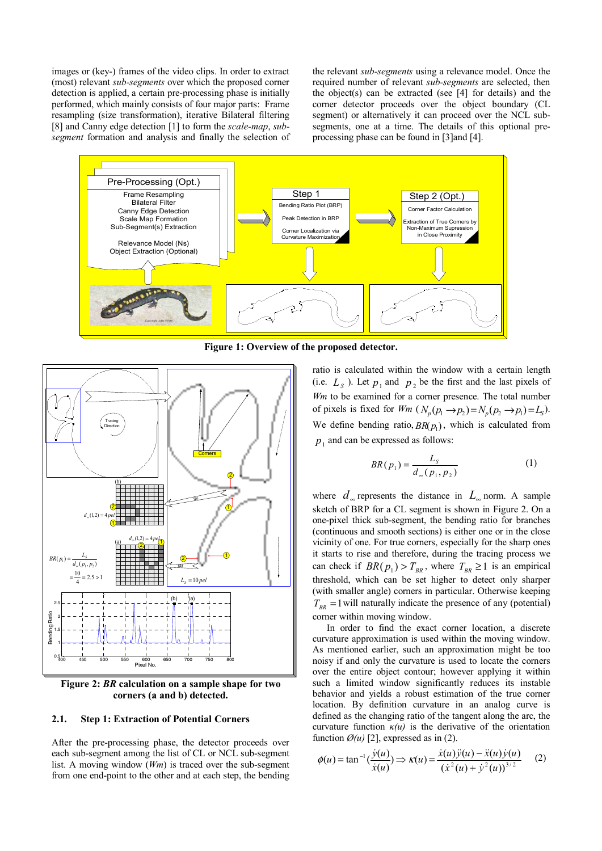images or (key-) frames of the video clips. In order to extract (most) relevant *sub-segments* over which the proposed corner detection is applied, a certain pre-processing phase is initially performed, which mainly consists of four major parts: Frame resampling (size transformation), iterative Bilateral filtering [8] and Canny edge detection [1] to form the *scale-map*, *subsegment* formation and analysis and finally the selection of

the relevant *sub-segments* using a relevance model. Once the required number of relevant *sub-segments* are selected, then the object(s) can be extracted (see [4] for details) and the corner detector proceeds over the object boundary (CL segment) or alternatively it can proceed over the NCL subsegments, one at a time. The details of this optional preprocessing phase can be found in [3]and [4].



**Figure 1: Overview of the proposed detector.** 



**Figure 2:** *BR* **calculation on a sample shape for two corners (a and b) detected.** 

#### **2.1. Step 1: Extraction of Potential Corners**

After the pre-processing phase, the detector proceeds over each sub-segment among the list of CL or NCL sub-segment list. A moving window (*Wm*) is traced over the sub-segment from one end-point to the other and at each step, the bending ratio is calculated within the window with a certain length (i.e.  $L_s$ ). Let  $p_1$  and  $p_2$  be the first and the last pixels of *Wm* to be examined for a corner presence. The total number of pixels is fixed for *Wm*  $(N_p(p_1 \rightarrow p_2) = N_p(p_2 \rightarrow p_1) = L_s$ . We define bending ratio,  $BR(p_1)$ , which is calculated from  $p_1$  and can be expressed as follows:

$$
BR(p_1) = \frac{L_s}{d_{\infty}(p_1, p_2)}\tag{1}
$$

where  $d_{\infty}$  represents the distance in  $L_{\infty}$  norm. A sample sketch of BRP for a CL segment is shown in Figure 2. On a one-pixel thick sub-segment, the bending ratio for branches (continuous and smooth sections) is either one or in the close vicinity of one. For true corners, especially for the sharp ones it starts to rise and therefore, during the tracing process we can check if  $BR(p_1) > T_{BR}$ , where  $T_{BR} \ge 1$  is an empirical threshold, which can be set higher to detect only sharper (with smaller angle) corners in particular. Otherwise keeping  $T_{BP}$  =1 will naturally indicate the presence of any (potential) corner within moving window.

In order to find the exact corner location, a discrete curvature approximation is used within the moving window. As mentioned earlier, such an approximation might be too noisy if and only the curvature is used to locate the corners over the entire object contour; however applying it within such a limited window significantly reduces its instable behavior and yields a robust estimation of the true corner location. By definition curvature in an analog curve is defined as the changing ratio of the tangent along the arc, the curvature function  $\kappa(u)$  is the derivative of the orientation function  $\mathcal{O}(u)$  [2], expressed as in (2).

$$
\phi(u) = \tan^{-1}\left(\frac{\dot{y}(u)}{\dot{x}(u)}\right) \Longrightarrow \kappa(u) = \frac{\dot{x}(u)\ddot{y}(u) - \ddot{x}(u)\dot{y}(u)}{\left(\dot{x}^2(u) + \dot{y}^2(u)\right)^{3/2}} \tag{2}
$$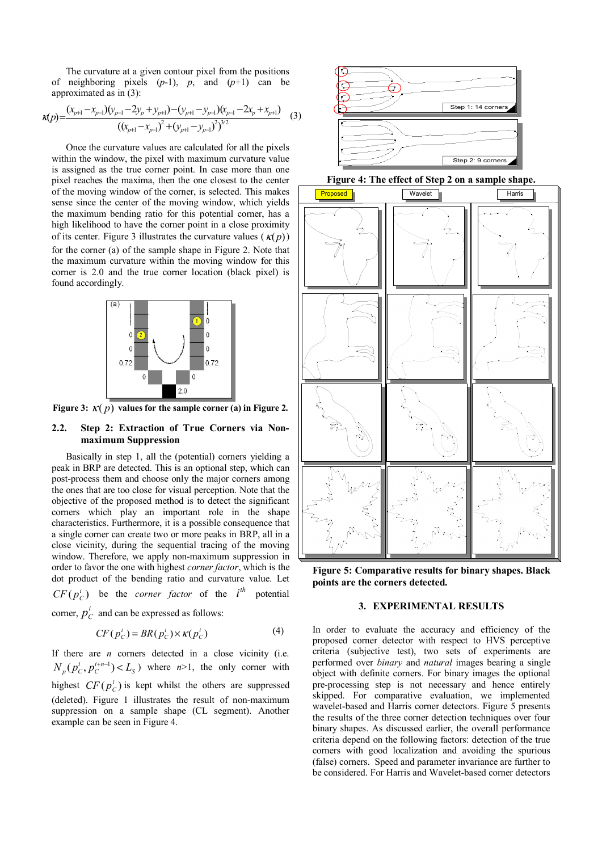The curvature at a given contour pixel from the positions of neighboring pixels  $(p-1)$ ,  $p$ , and  $(p+1)$  can be approximated as in (3):

$$
\kappa(p) = \frac{(x_{p+1} - x_{p-1})(y_{p-1} - 2y_p + y_{p+1}) - (y_{p+1} - y_{p-1})(x_{p-1} - 2x_p + x_{p+1})}{((x_{p+1} - x_{p-1})^2 + (y_{p+1} - y_{p-1})^2)^{3/2}}
$$
(3)

Once the curvature values are calculated for all the pixels within the window, the pixel with maximum curvature value is assigned as the true corner point. In case more than one pixel reaches the maxima, then the one closest to the center of the moving window of the corner, is selected. This makes sense since the center of the moving window, which yields the maximum bending ratio for this potential corner, has a high likelihood to have the corner point in a close proximity of its center. Figure 3 illustrates the curvature values ( $\kappa(p)$ ) for the corner (a) of the sample shape in Figure 2. Note that the maximum curvature within the moving window for this corner is 2.0 and the true corner location (black pixel) is found accordingly.



**Figure 3:** κ( *p*) **values for the sample corner (a) in Figure 2.** 

### **2.2. Step 2: Extraction of True Corners via Nonmaximum Suppression**

Basically in step 1, all the (potential) corners yielding a peak in BRP are detected. This is an optional step, which can post-process them and choose only the major corners among the ones that are too close for visual perception. Note that the objective of the proposed method is to detect the significant corners which play an important role in the shape characteristics. Furthermore, it is a possible consequence that a single corner can create two or more peaks in BRP, all in a close vicinity, during the sequential tracing of the moving window. Therefore, we apply non-maximum suppression in order to favor the one with highest *corner factor*, which is the dot product of the bending ratio and curvature value. Let  $CF(p<sub>c</sub><sup>i</sup>)$  be the *corner factor* of the  $i<sup>th</sup>$  potential corner,  $p_C^i$  and can be expressed as follows:

$$
CF(p_C^i) = BR(p_C^i) \times \kappa(p_C^i)
$$
 (4)

If there are *n* corners detected in a close vicinity (i.e.  $N_p(p_c^i, p_c^{i+n-1}) < L_s$  where *n*>1, the only corner with highest  $CF(p_c^i)$  is kept whilst the others are suppressed (deleted). Figure 1 illustrates the result of non-maximum suppression on a sample shape (CL segment). Another example can be seen in Figure 4.







**Figure 5: Comparative results for binary shapes. Black points are the corners detected.** 

# **3. EXPERIMENTAL RESULTS**

In order to evaluate the accuracy and efficiency of the proposed corner detector with respect to HVS perceptive criteria (subjective test), two sets of experiments are performed over *binary* and *natural* images bearing a single object with definite corners. For binary images the optional pre-processing step is not necessary and hence entirely skipped. For comparative evaluation, we implemented wavelet-based and Harris corner detectors. Figure 5 presents the results of the three corner detection techniques over four binary shapes. As discussed earlier, the overall performance criteria depend on the following factors: detection of the true corners with good localization and avoiding the spurious (false) corners. Speed and parameter invariance are further to be considered. For Harris and Wavelet-based corner detectors